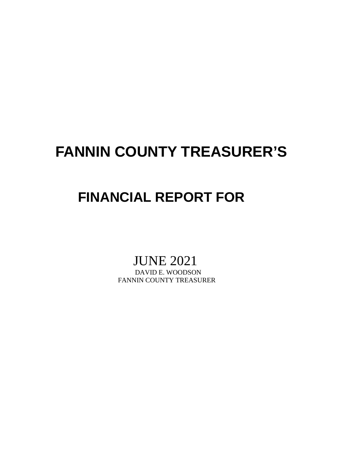# **FANNIN COUNTY TREASURER'S**

## **FINANCIAL REPORT FOR**

# JUNE 2021<br>DAVID E. WOODSON

FANNIN COUNTY TREASURER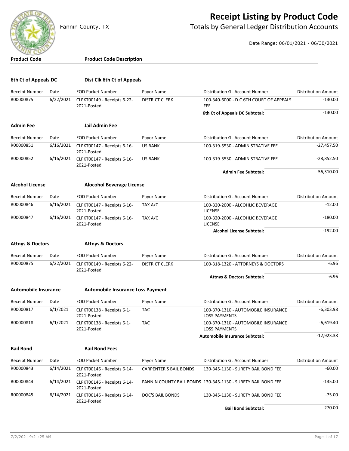

### **Receipt Listing by Product Code**

Fannin County, TX **The County of Totals by General Ledger Distribution Accounts** 

Date Range: 06/01/2021 - 06/30/2021

| <b>Product Code</b>         |           | <b>Product Code Description</b>            |                               |                                                              |                            |
|-----------------------------|-----------|--------------------------------------------|-------------------------------|--------------------------------------------------------------|----------------------------|
| 6th Ct of Appeals DC        |           | Dist Clk 6th Ct of Appeals                 |                               |                                                              |                            |
| Receipt Number              | Date      | <b>EOD Packet Number</b>                   | Payor Name                    | Distribution GL Account Number                               | <b>Distribution Amount</b> |
| R00000875                   | 6/22/2021 | CLPKT00149 - Receipts 6-22-                | <b>DISTRICT CLERK</b>         | 100-340-6000 - D.C.6TH COURT OF APPEALS                      | $-130.00$                  |
|                             |           | 2021-Posted                                |                               | FEE<br>6th Ct of Appeals DC Subtotal:                        | $-130.00$                  |
|                             |           | <b>Jail Admin Fee</b>                      |                               |                                                              |                            |
| Admin Fee                   |           |                                            |                               |                                                              |                            |
| Receipt Number              | Date      | <b>EOD Packet Number</b>                   | Payor Name                    | Distribution GL Account Number                               | <b>Distribution Amount</b> |
| R00000851                   | 6/16/2021 | CLPKT00147 - Receipts 6-16-<br>2021-Posted | <b>US BANK</b>                | 100-319-5530 - ADMINISTRATIVE FEE                            | $-27,457.50$               |
| R00000852                   | 6/16/2021 | CLPKT00147 - Receipts 6-16-<br>2021-Posted | <b>US BANK</b>                | 100-319-5530 - ADMINISTRATIVE FEE                            | $-28,852.50$               |
|                             |           |                                            |                               | <b>Admin Fee Subtotal:</b>                                   | $-56,310.00$               |
| <b>Alcohol License</b>      |           | <b>Alocohol Beverage License</b>           |                               |                                                              |                            |
| <b>Receipt Number</b>       | Date      | <b>EOD Packet Number</b>                   | Payor Name                    | Distribution GL Account Number                               | <b>Distribution Amount</b> |
| R00000846                   | 6/16/2021 | CLPKT00147 - Receipts 6-16-<br>2021-Posted | TAX A/C                       | 100-320-2000 - ALCOHLIC BEVERAGE<br><b>LICENSE</b>           | $-12.00$                   |
| R00000847                   | 6/16/2021 | CLPKT00147 - Receipts 6-16-<br>2021-Posted | TAX A/C                       | 100-320-2000 - ALCOHLIC BEVERAGE<br><b>LICENSE</b>           | $-180.00$                  |
|                             |           |                                            |                               | <b>Alcohol License Subtotal:</b>                             | $-192.00$                  |
| <b>Attnys &amp; Doctors</b> |           | <b>Attnys &amp; Doctors</b>                |                               |                                                              |                            |
| Receipt Number              | Date      | <b>EOD Packet Number</b>                   | Payor Name                    | Distribution GL Account Number                               | <b>Distribution Amount</b> |
| R00000875                   | 6/22/2021 | CLPKT00149 - Receipts 6-22-<br>2021-Posted | <b>DISTRICT CLERK</b>         | 100-318-1320 - ATTORNEYS & DOCTORS                           | -6.96                      |
|                             |           |                                            |                               | <b>Attnys &amp; Doctors Subtotal:</b>                        | $-6.96$                    |
| <b>Automobile Insurance</b> |           | <b>Automobile Insurance Loss Payment</b>   |                               |                                                              |                            |
| <b>Receipt Number</b>       | Date      | <b>EOD Packet Number</b>                   | Payor Name                    | Distribution GL Account Number                               | <b>Distribution Amount</b> |
| R00000817                   | 6/1/2021  | CLPKT00138 - Receipts 6-1-<br>2021-Posted  | TAC                           | 100-370-1310 - AUTOMOBILE INSURANCE<br><b>LOSS PAYMENTS</b>  | -6,303.98                  |
| R00000818                   | 6/1/2021  | CLPKT00138 - Receipts 6-1-<br>2021-Posted  | <b>TAC</b>                    | 100-370-1310 - AUTOMOBILE INSURANCE<br><b>LOSS PAYMENTS</b>  | $-6,619.40$                |
|                             |           |                                            |                               | Automobile Insurance Subtotal:                               | $-12,923.38$               |
| <b>Bail Bond</b>            |           | <b>Bail Bond Fees</b>                      |                               |                                                              |                            |
| Receipt Number              | Date      | <b>EOD Packet Number</b>                   | Payor Name                    | Distribution GL Account Number                               | <b>Distribution Amount</b> |
| R00000843                   | 6/14/2021 | CLPKT00146 - Receipts 6-14-<br>2021-Posted | <b>CARPENTER'S BAIL BONDS</b> | 130-345-1130 - SURETY BAIL BOND FEE                          | $-60.00$                   |
| R00000844                   | 6/14/2021 | CLPKT00146 - Receipts 6-14-<br>2021-Posted |                               | FANNIN COUNTY BAIL BONDS 130-345-1130 - SURETY BAIL BOND FEE | $-135.00$                  |
| R00000845                   | 6/14/2021 | CLPKT00146 - Receipts 6-14-<br>2021-Posted | DOC'S BAIL BONDS              | 130-345-1130 - SURETY BAIL BOND FEE                          | $-75.00$                   |

**Bail Bond Subtotal:**  $-270.00$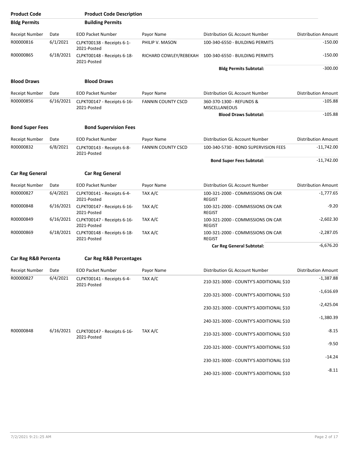| <b>Product Code</b>    |           | <b>Product Code Description</b>            |                           |                                                    |                            |
|------------------------|-----------|--------------------------------------------|---------------------------|----------------------------------------------------|----------------------------|
| <b>Bldg Permits</b>    |           | <b>Building Permits</b>                    |                           |                                                    |                            |
| Receipt Number         | Date      | <b>EOD Packet Number</b>                   | Payor Name                | Distribution GL Account Number                     | <b>Distribution Amount</b> |
| R00000816              | 6/1/2021  | CLPKT00138 - Receipts 6-1-<br>2021-Posted  | PHILIP V. MASON           | 100-340-6550 - BUILDING PERMITS                    | $-150.00$                  |
| R00000865              | 6/18/2021 | CLPKT00148 - Receipts 6-18-<br>2021-Posted | RICHARD COWLEY/REBEKAH    | 100-340-6550 - BUILDING PERMITS                    | $-150.00$                  |
|                        |           |                                            |                           | <b>Bldg Permits Subtotal:</b>                      | $-300.00$                  |
| <b>Blood Draws</b>     |           | <b>Blood Draws</b>                         |                           |                                                    |                            |
| <b>Receipt Number</b>  | Date      | <b>EOD Packet Number</b>                   | Payor Name                | Distribution GL Account Number                     | <b>Distribution Amount</b> |
| R00000856              | 6/16/2021 | CLPKT00147 - Receipts 6-16-<br>2021-Posted | <b>FANNIN COUNTY CSCD</b> | 360-370-1300 - REFUNDS &<br><b>MISCELLANEOUS</b>   | $-105.88$                  |
|                        |           |                                            |                           | <b>Blood Draws Subtotal:</b>                       | $-105.88$                  |
| <b>Bond Super Fees</b> |           | <b>Bond Supervision Fees</b>               |                           |                                                    |                            |
| <b>Receipt Number</b>  | Date      | <b>EOD Packet Number</b>                   | Payor Name                | Distribution GL Account Number                     | <b>Distribution Amount</b> |
| R00000832              | 6/8/2021  | CLPKT00143 - Receipts 6-8-<br>2021-Posted  | <b>FANNIN COUNTY CSCD</b> | 100-340-5730 - BOND SUPERVISION FEES               | $-11,742.00$               |
|                        |           |                                            |                           | <b>Bond Super Fees Subtotal:</b>                   | $-11,742.00$               |
| <b>Car Reg General</b> |           | <b>Car Reg General</b>                     |                           |                                                    |                            |
| <b>Receipt Number</b>  | Date      | <b>EOD Packet Number</b>                   | Payor Name                | Distribution GL Account Number                     | <b>Distribution Amount</b> |
| R00000827              | 6/4/2021  | CLPKT00141 - Receipts 6-4-<br>2021-Posted  | TAX A/C                   | 100-321-2000 - COMMISSIONS ON CAR<br><b>REGIST</b> | $-1,777.65$                |
| R00000848              | 6/16/2021 | CLPKT00147 - Receipts 6-16-<br>2021-Posted | TAX A/C                   | 100-321-2000 - COMMISSIONS ON CAR<br><b>REGIST</b> | $-9.20$                    |
| R00000849              | 6/16/2021 | CLPKT00147 - Receipts 6-16-<br>2021-Posted | TAX A/C                   | 100-321-2000 - COMMISSIONS ON CAR<br><b>REGIST</b> | $-2,602.30$                |
| R00000869              | 6/18/2021 | CLPKT00148 - Receipts 6-18-<br>2021-Posted | TAX A/C                   | 100-321-2000 - COMMISSIONS ON CAR<br><b>REGIST</b> | $-2,287.05$                |
|                        |           |                                            |                           | <b>Car Reg General Subtotal:</b>                   | $-6,676.20$                |
| Car Reg R&B Percenta   |           | <b>Car Reg R&amp;B Percentages</b>         |                           |                                                    |                            |
| Receipt Number         | Date      | <b>EOD Packet Number</b>                   | Payor Name                | Distribution GL Account Number                     | <b>Distribution Amount</b> |
| R00000827              | 6/4/2021  | CLPKT00141 - Receipts 6-4-<br>2021-Posted  | TAX A/C                   | 210-321-3000 - COUNTY'S ADDITIONAL \$10            | $-1,387.88$                |
|                        |           |                                            |                           | 220-321-3000 - COUNTY'S ADDITIONAL \$10            | $-1,616.69$                |
|                        |           |                                            |                           | 230-321-3000 - COUNTY'S ADDITIONAL \$10            | $-2,425.04$                |
|                        |           |                                            |                           | 240-321-3000 - COUNTY'S ADDITIONAL \$10            | $-1,380.39$                |
| R00000848              | 6/16/2021 | CLPKT00147 - Receipts 6-16-<br>2021-Posted | TAX A/C                   | 210-321-3000 - COUNTY'S ADDITIONAL \$10            | $-8.15$                    |
|                        |           |                                            |                           | 220-321-3000 - COUNTY'S ADDITIONAL \$10            | $-9.50$                    |
|                        |           |                                            |                           | 230-321-3000 - COUNTY'S ADDITIONAL \$10            | $-14.24$                   |
|                        |           |                                            |                           | 240-321-3000 - COUNTY'S ADDITIONAL \$10            | $-8.11$                    |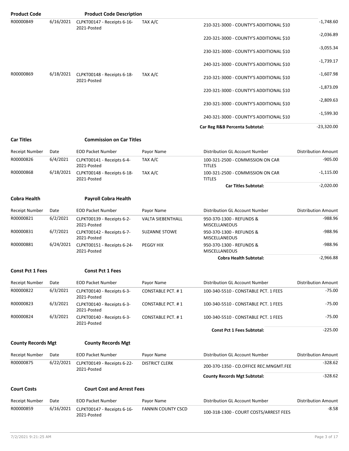| <b>Product Code</b> |           | <b>Product Code Description</b>            |            |                                                       |                            |
|---------------------|-----------|--------------------------------------------|------------|-------------------------------------------------------|----------------------------|
| R00000849           | 6/16/2021 | CLPKT00147 - Receipts 6-16-<br>2021-Posted | TAX A/C    | 210-321-3000 - COUNTY'S ADDITIONAL \$10               | $-1,748.60$                |
|                     |           |                                            |            | 220-321-3000 - COUNTY'S ADDITIONAL \$10               | $-2,036.89$                |
|                     |           |                                            |            | 230-321-3000 - COUNTY'S ADDITIONAL \$10               | $-3,055.34$                |
|                     |           |                                            |            | 240-321-3000 - COUNTY'S ADDITIONAL \$10               | $-1,739.17$                |
| R00000869           | 6/18/2021 | CLPKT00148 - Receipts 6-18-<br>2021-Posted | TAX A/C    | 210-321-3000 - COUNTY'S ADDITIONAL \$10               | $-1,607.98$                |
|                     |           |                                            |            | 220-321-3000 - COUNTY'S ADDITIONAL \$10               | $-1,873.09$                |
|                     |           |                                            |            | 230-321-3000 - COUNTY'S ADDITIONAL \$10               | $-2,809.63$                |
|                     |           |                                            |            | 240-321-3000 - COUNTY'S ADDITIONAL \$10               | $-1,599.30$                |
|                     |           |                                            |            | Car Reg R&B Percenta Subtotal:                        | $-23,320.00$               |
| <b>Car Titles</b>   |           | <b>Commission on Car Titles</b>            |            |                                                       |                            |
| Receipt Number      | Date      | <b>EOD Packet Number</b>                   | Payor Name | Distribution GL Account Number                        | <b>Distribution Amount</b> |
| R00000826           | 6/4/2021  | CLPKT00141 - Receipts 6-4-<br>2021 Bastad  | TAX A/C    | 100-321-2500 - COMMISSION ON CAR<br>$T(T)$ $\Gamma C$ | $-905.00$                  |

| R00000826 | 6/4/2021  | CLPKT00141 - Receipts 6-4-<br>2021-Posted  | TAX A/C | 100-321-2500 - COMMISSION ON CAR<br><b>TITLES</b> | $-905.00$   |
|-----------|-----------|--------------------------------------------|---------|---------------------------------------------------|-------------|
| R00000868 | 6/18/2021 | CLPKT00148 - Receipts 6-18-<br>2021-Posted | TAX A/C | 100-321-2500 - COMMISSION ON CAR<br><b>TITLES</b> | $-1,115.00$ |
|           |           |                                            |         | <b>Car Titles Subtotal:</b>                       | $-2,020.00$ |

#### **Cobra Health Payroll Cobra Health**

| Receipt Number | Date      | <b>EOD Packet Number</b>                   | Payor Name               | Distribution GL Account Number                   | <b>Distribution Amount</b> |
|----------------|-----------|--------------------------------------------|--------------------------|--------------------------------------------------|----------------------------|
| R00000821      | 6/2/2021  | CLPKT00139 - Receipts 6-2-<br>2021-Posted  | <b>VALTA SIEBENTHALL</b> | 950-370-1300 - REFUNDS &<br><b>MISCELLANEOUS</b> | $-988.96$                  |
| R00000831      | 6/7/2021  | CLPKT00142 - Receipts 6-7-<br>2021-Posted  | <b>SUZANNE STOWE</b>     | 950-370-1300 - REFUNDS &<br><b>MISCELLANEOUS</b> | -988.96                    |
| R00000881      | 6/24/2021 | CLPKT00151 - Receipts 6-24-<br>2021-Posted | PEGGY HIX                | 950-370-1300 - REFUNDS &<br><b>MISCELLANEOUS</b> | $-988.96$                  |
|                |           |                                            |                          | <b>Cobra Health Subtotal:</b>                    | $-2.966.88$                |

#### **Const Pct 1 Fees Const Pct 1 Fees**

| <b>Receipt Number</b> | Date     | <b>EOD Packet Number</b>                  | Payor Name               | Distribution GL Account Number       | <b>Distribution Amount</b> |
|-----------------------|----------|-------------------------------------------|--------------------------|--------------------------------------|----------------------------|
| R00000822             | 6/3/2021 | CLPKT00140 - Receipts 6-3-<br>2021-Posted | CONSTABLE PCT. #1        | 100-340-5510 - CONSTABLE PCT. 1 FEES | $-75.00$                   |
| R00000823             | 6/3/2021 | CLPKT00140 - Receipts 6-3-<br>2021-Posted | <b>CONSTABLE PCT. #1</b> | 100-340-5510 - CONSTABLE PCT. 1 FEES | $-75.00$                   |
| R00000824             | 6/3/2021 | CLPKT00140 - Receipts 6-3-<br>2021-Posted | <b>CONSTABLE PCT. #1</b> | 100-340-5510 - CONSTABLE PCT. 1 FEES | $-75.00$                   |
|                       |          |                                           |                          | <b>Const Pct 1 Fees Subtotal:</b>    | $-225.00$                  |

#### **County Records Mgt County Records Mgt**

| Date      | <b>EOD Packet Number</b>                   | Payor Name            | Distribution GL Account Number         | <b>Distribution Amount</b> |
|-----------|--------------------------------------------|-----------------------|----------------------------------------|----------------------------|
| 6/22/2021 | CLPKT00149 - Receipts 6-22-<br>2021-Posted | <b>DISTRICT CLERK</b> | 200-370-1350 - CO.OFFICE REC.MNGMT.FEE | $-328.62$                  |
|           |                                            |                       | <b>County Records Mgt Subtotal:</b>    | $-328.62$                  |
|           |                                            |                       |                                        |                            |

#### **Court Costs Court Cost and Arrest Fees**

| Receipt Number | Date | <b>EOD Packet Number</b>                                | Pavor Name         | Distribution GL Account Number         | <b>Distribution Amount</b> |
|----------------|------|---------------------------------------------------------|--------------------|----------------------------------------|----------------------------|
| R00000859      |      | 6/16/2021    CLPKT00147 - Receipts 6-16-<br>2021-Posted | FANNIN COUNTY CSCD | 100-318-1300 - COURT COSTS/ARREST FEES | $-8.58$                    |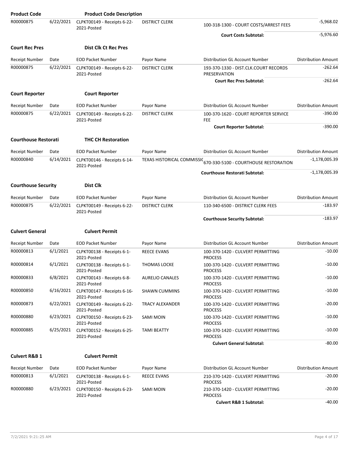| <b>Product Code</b>         |           | <b>Product Code Description</b>            |                            |                                                       |                            |
|-----------------------------|-----------|--------------------------------------------|----------------------------|-------------------------------------------------------|----------------------------|
| R00000875                   | 6/22/2021 | CLPKT00149 - Receipts 6-22-<br>2021-Posted | <b>DISTRICT CLERK</b>      | 100-318-1300 - COURT COSTS/ARREST FEES                | $-5,968.02$                |
|                             |           |                                            |                            | <b>Court Costs Subtotal:</b>                          | $-5,976.60$                |
| <b>Court Rec Pres</b>       |           | <b>Dist Clk Ct Rec Pres</b>                |                            |                                                       |                            |
| <b>Receipt Number</b>       | Date      | <b>EOD Packet Number</b>                   | Payor Name                 | Distribution GL Account Number                        | <b>Distribution Amount</b> |
| R00000875                   | 6/22/2021 | CLPKT00149 - Receipts 6-22-<br>2021-Posted | <b>DISTRICT CLERK</b>      | 193-370-1330 - DIST.CLK.COURT RECORDS<br>PRESERVATION | $-262.64$                  |
|                             |           |                                            |                            | <b>Court Rec Pres Subtotal:</b>                       | $-262.64$                  |
| <b>Court Reporter</b>       |           | <b>Court Reporter</b>                      |                            |                                                       |                            |
| Receipt Number              | Date      | <b>EOD Packet Number</b>                   | Payor Name                 | Distribution GL Account Number                        | <b>Distribution Amount</b> |
| R00000875                   | 6/22/2021 | CLPKT00149 - Receipts 6-22-<br>2021-Posted | <b>DISTRICT CLERK</b>      | 100-370-1620 - COURT REPORTER SERVICE<br><b>FEE</b>   | $-390.00$                  |
|                             |           |                                            |                            | <b>Court Reporter Subtotal:</b>                       | $-390.00$                  |
| <b>Courthouse Restorati</b> |           | <b>THC CH Restoration</b>                  |                            |                                                       |                            |
| <b>Receipt Number</b>       | Date      | <b>EOD Packet Number</b>                   | Payor Name                 | Distribution GL Account Number                        | <b>Distribution Amount</b> |
| R00000840                   | 6/14/2021 | CLPKT00146 - Receipts 6-14-<br>2021-Posted | TEXAS HISTORICAL COMMISSIC | 670-330-5100 - COURTHOUSE RESTORATION                 | $-1,178,005.39$            |
|                             |           |                                            |                            | <b>Courthouse Restorati Subtotal:</b>                 | $-1,178,005.39$            |
| <b>Courthouse Security</b>  |           | <b>Dist Clk</b>                            |                            |                                                       |                            |
| <b>Receipt Number</b>       | Date      | <b>EOD Packet Number</b>                   | Payor Name                 | Distribution GL Account Number                        | <b>Distribution Amount</b> |
| R00000875                   | 6/22/2021 | CLPKT00149 - Receipts 6-22-<br>2021-Posted | <b>DISTRICT CLERK</b>      | 110-340-6500 - DISTRICT CLERK FEES                    | $-183.97$                  |
|                             |           |                                            |                            | <b>Courthouse Security Subtotal:</b>                  | $-183.97$                  |
| <b>Culvert General</b>      |           | <b>Culvert Permit</b>                      |                            |                                                       |                            |
| <b>Receipt Number</b>       | Date      | <b>EOD Packet Number</b>                   | Payor Name                 | Distribution GL Account Number                        | <b>Distribution Amount</b> |
| R00000813                   | 6/1/2021  | CLPKT00138 - Receipts 6-1-<br>2021-Posted  | <b>REECE EVANS</b>         | 100-370-1420 - CULVERT PERMITTING<br><b>PROCESS</b>   | $-10.00$                   |
| R00000814                   | 6/1/2021  | CLPKT00138 - Receipts 6-1-<br>2021-Posted  | <b>THOMAS LOCKE</b>        | 100-370-1420 - CULVERT PERMITTING<br><b>PROCESS</b>   | $-10.00$                   |
| R00000833                   | 6/8/2021  | CLPKT00143 - Receipts 6-8-<br>2021-Posted  | <b>AURELIO CANALES</b>     | 100-370-1420 - CULVERT PERMITTING<br><b>PROCESS</b>   | $-10.00$                   |
| R00000850                   | 6/16/2021 | CLPKT00147 - Receipts 6-16-<br>2021-Posted | <b>SHAWN CUMMINS</b>       | 100-370-1420 - CULVERT PERMITTING<br><b>PROCESS</b>   | $-10.00$                   |
| R00000873                   | 6/22/2021 | CLPKT00149 - Receipts 6-22-<br>2021-Posted | TRACY ALEXANDER            | 100-370-1420 - CULVERT PERMITTING<br><b>PROCESS</b>   | $-20.00$                   |
| R00000880                   | 6/23/2021 | CLPKT00150 - Receipts 6-23-<br>2021-Posted | SAMI MOIN                  | 100-370-1420 - CULVERT PERMITTING<br><b>PROCESS</b>   | $-10.00$                   |
| R00000885                   | 6/25/2021 | CLPKT00152 - Receipts 6-25-<br>2021-Posted | <b>TAMI BEATTY</b>         | 100-370-1420 - CULVERT PERMITTING<br><b>PROCESS</b>   | $-10.00$                   |
|                             |           |                                            |                            | <b>Culvert General Subtotal:</b>                      | -80.00                     |
| <b>Culvert R&amp;B 1</b>    |           | <b>Culvert Permit</b>                      |                            |                                                       |                            |
| Receipt Number              | Date      | <b>EOD Packet Number</b>                   | Payor Name                 | Distribution GL Account Number                        | <b>Distribution Amount</b> |
| R00000813                   | 6/1/2021  | CLPKT00138 - Receipts 6-1-<br>2021-Posted  | <b>REECE EVANS</b>         | 210-370-1420 - CULVERT PERMITTING<br><b>PROCESS</b>   | $-20.00$                   |
| R00000880                   | 6/23/2021 | CLPKT00150 - Receipts 6-23-<br>2021-Posted | SAMI MOIN                  | 210-370-1420 - CULVERT PERMITTING<br><b>PROCESS</b>   | $-20.00$                   |
|                             |           |                                            |                            | <b>Culvert R&amp;B 1 Subtotal:</b>                    | $-40.00$                   |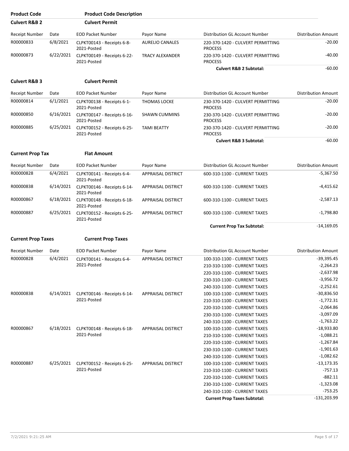| <b>Product Code</b>       |           | <b>Product Code Description</b>                      |                           |                                                     |                            |
|---------------------------|-----------|------------------------------------------------------|---------------------------|-----------------------------------------------------|----------------------------|
| <b>Culvert R&amp;B 2</b>  |           | <b>Culvert Permit</b>                                |                           |                                                     |                            |
| <b>Receipt Number</b>     | Date      | <b>EOD Packet Number</b>                             | Payor Name                | Distribution GL Account Number                      | <b>Distribution Amount</b> |
| R00000833                 | 6/8/2021  | CLPKT00143 - Receipts 6-8-<br>2021-Posted            | <b>AURELIO CANALES</b>    | 220-370-1420 - CULVERT PERMITTING<br><b>PROCESS</b> | -20.00                     |
| R00000873                 | 6/22/2021 | CLPKT00149 - Receipts 6-22-<br>2021-Posted           | <b>TRACY ALEXANDER</b>    | 220-370-1420 - CULVERT PERMITTING<br><b>PROCESS</b> | $-40.00$                   |
|                           |           |                                                      |                           | <b>Culvert R&amp;B 2 Subtotal:</b>                  | $-60.00$                   |
| <b>Culvert R&amp;B 3</b>  |           | <b>Culvert Permit</b>                                |                           |                                                     |                            |
| <b>Receipt Number</b>     | Date      | <b>EOD Packet Number</b>                             | Payor Name                | Distribution GL Account Number                      | <b>Distribution Amount</b> |
| R00000814                 | 6/1/2021  | CLPKT00138 - Receipts 6-1-<br>2021-Posted            | <b>THOMAS LOCKE</b>       | 230-370-1420 - CULVERT PERMITTING<br><b>PROCESS</b> | $-20.00$                   |
| R00000850                 | 6/16/2021 | CLPKT00147 - Receipts 6-16-<br>2021-Posted           | <b>SHAWN CUMMINS</b>      | 230-370-1420 - CULVERT PERMITTING<br><b>PROCESS</b> | $-20.00$                   |
| R00000885                 | 6/25/2021 | CLPKT00152 - Receipts 6-25-<br>2021-Posted           | <b>TAMI BEATTY</b>        | 230-370-1420 - CULVERT PERMITTING<br><b>PROCESS</b> | $-20.00$                   |
|                           |           |                                                      |                           | <b>Culvert R&amp;B 3 Subtotal:</b>                  | $-60.00$                   |
| <b>Current Prop Tax</b>   |           | <b>Flat Amount</b>                                   |                           |                                                     |                            |
| <b>Receipt Number</b>     | Date      | <b>EOD Packet Number</b>                             | Payor Name                | Distribution GL Account Number                      | <b>Distribution Amount</b> |
| R00000828                 | 6/4/2021  | CLPKT00141 - Receipts 6-4-<br>2021-Posted            | <b>APPRAISAL DISTRICT</b> | 600-310-1100 - CURRENT TAXES                        | $-5,367.50$                |
| R00000838                 | 6/14/2021 | CLPKT00146 - Receipts 6-14-<br>2021-Posted           | <b>APPRAISAL DISTRICT</b> | 600-310-1100 - CURRENT TAXES                        | -4,415.62                  |
| R00000867                 | 6/18/2021 | CLPKT00148 - Receipts 6-18-<br>2021-Posted           | APPRAISAL DISTRICT        | 600-310-1100 - CURRENT TAXES                        | $-2,587.13$                |
| R00000887                 | 6/25/2021 | CLPKT00152 - Receipts 6-25-<br>2021-Posted           | <b>APPRAISAL DISTRICT</b> | 600-310-1100 - CURRENT TAXES                        | $-1,798.80$                |
|                           |           |                                                      |                           | <b>Current Prop Tax Subtotal:</b>                   | $-14,169.05$               |
| <b>Current Prop Taxes</b> |           | <b>Current Prop Taxes</b>                            |                           |                                                     |                            |
| <b>Receipt Number</b>     | Date      | <b>EOD Packet Number</b>                             | Payor Name                | Distribution GL Account Number                      | <b>Distribution Amount</b> |
| R00000828                 | 6/4/2021  | CLPKT00141 - Receipts 6-4-                           | APPRAISAL DISTRICT        | 100-310-1100 - CURRENT TAXES                        | $-39,395.45$               |
|                           |           | 2021-Posted                                          |                           | 210-310-1100 - CURRENT TAXES                        | $-2,264.23$                |
|                           |           |                                                      |                           | 220-310-1100 - CURRENT TAXES                        | $-2,637.98$                |
|                           |           |                                                      |                           | 230-310-1100 - CURRENT TAXES                        | $-3,956.72$                |
|                           |           |                                                      |                           | 240-310-1100 - CURRENT TAXES                        | $-2,252.61$                |
| R00000838                 |           | 6/14/2021 CLPKT00146 - Receipts 6-14-                | <b>APPRAISAL DISTRICT</b> | 100-310-1100 - CURRENT TAXES                        | $-30,836.50$               |
|                           |           | 2021-Posted                                          |                           | 210-310-1100 - CURRENT TAXES                        | $-1,772.31$                |
|                           |           |                                                      |                           | 220-310-1100 - CURRENT TAXES                        | $-2,064.86$                |
|                           |           |                                                      |                           | 230-310-1100 - CURRENT TAXES                        | $-3,097.09$                |
|                           |           |                                                      |                           | 240-310-1100 - CURRENT TAXES                        | $-1,763.22$                |
| R00000867                 |           | 6/18/2021 CLPKT00148 - Receipts 6-18-                | <b>APPRAISAL DISTRICT</b> | 100-310-1100 - CURRENT TAXES                        | $-18,933.80$               |
|                           |           | 2021-Posted                                          |                           | 210-310-1100 - CURRENT TAXES                        | $-1,088.21$                |
|                           |           |                                                      |                           | 220-310-1100 - CURRENT TAXES                        | $-1,267.84$                |
|                           |           |                                                      |                           | 230-310-1100 - CURRENT TAXES                        | $-1,901.63$                |
|                           |           |                                                      |                           |                                                     | $-1,082.62$                |
| R00000887                 |           |                                                      |                           | 240-310-1100 - CURRENT TAXES                        | $-13,173.35$               |
|                           |           | 6/25/2021 CLPKT00152 - Receipts 6-25-<br>2021-Posted | <b>APPRAISAL DISTRICT</b> | 100-310-1100 - CURRENT TAXES                        |                            |
|                           |           |                                                      |                           | 210-310-1100 - CURRENT TAXES                        | $-757.13$                  |
|                           |           |                                                      |                           | 220-310-1100 - CURRENT TAXES                        | -882.11                    |
|                           |           |                                                      |                           | 230-310-1100 - CURRENT TAXES                        | $-1,323.08$                |
|                           |           |                                                      |                           | 240-310-1100 - CURRENT TAXES                        | $-753.25$                  |
|                           |           |                                                      |                           | <b>Current Prop Taxes Subtotal:</b>                 | $-131,203.99$              |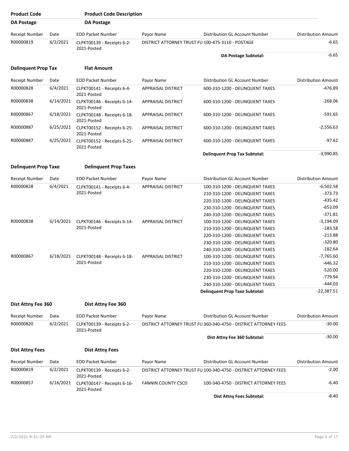| <b>Product Code</b>         |           | <b>Product Code Description</b>            |                           |                                                                  |                            |
|-----------------------------|-----------|--------------------------------------------|---------------------------|------------------------------------------------------------------|----------------------------|
| <b>DA Postage</b>           |           | <b>DA Postage</b>                          |                           |                                                                  |                            |
| Receipt Number              | Date      | <b>EOD Packet Number</b>                   | Payor Name                | Distribution GL Account Number                                   | <b>Distribution Amount</b> |
| R00000819                   | 6/2/2021  | CLPKT00139 - Receipts 6-2-<br>2021-Posted  |                           | DISTRICT ATTORNEY TRUST FU 100-475-3110 - POSTAGE                | $-6.65$                    |
|                             |           |                                            |                           | <b>DA Postage Subtotal:</b>                                      | $-6.65$                    |
| <b>Delinquent Prop Tax</b>  |           | <b>Flat Amount</b>                         |                           |                                                                  |                            |
| Receipt Number              | Date      | <b>EOD Packet Number</b>                   | Payor Name                | Distribution GL Account Number                                   | <b>Distribution Amount</b> |
| R00000828                   | 6/4/2021  | CLPKT00141 - Receipts 6-4-<br>2021-Posted  | <b>APPRAISAL DISTRICT</b> | 600-310-1200 - DELINQUENT TAXES                                  | $-476.89$                  |
| R00000838                   | 6/14/2021 | CLPKT00146 - Receipts 6-14-<br>2021-Posted | <b>APPRAISAL DISTRICT</b> | 600-310-1200 - DELINQUENT TAXES                                  | $-268.06$                  |
| R00000867                   | 6/18/2021 | CLPKT00148 - Receipts 6-18-<br>2021-Posted | <b>APPRAISAL DISTRICT</b> | 600-310-1200 - DELINQUENT TAXES                                  | $-591.65$                  |
| R00000887                   | 6/25/2021 | CLPKT00152 - Receipts 6-25-<br>2021-Posted | <b>APPRAISAL DISTRICT</b> | 600-310-1200 - DELINQUENT TAXES                                  | $-2,556.63$                |
| R00000887                   | 6/25/2021 | CLPKT00152 - Receipts 6-25-<br>2021-Posted | <b>APPRAISAL DISTRICT</b> | 600-310-1200 - DELINQUENT TAXES                                  | $-97.62$                   |
|                             |           |                                            |                           | <b>Delinquent Prop Tax Subtotal:</b>                             | $-3,990.85$                |
| <b>Delinquent Prop Taxe</b> |           | <b>Delinquent Prop Taxes</b>               |                           |                                                                  |                            |
| Receipt Number              | Date      | <b>EOD Packet Number</b>                   | Payor Name                | Distribution GL Account Number                                   | <b>Distribution Amount</b> |
| R00000828                   | 6/4/2021  | CLPKT00141 - Receipts 6-4-                 | <b>APPRAISAL DISTRICT</b> | 100-310-1200 - DELINQUENT TAXES                                  | $-6,502.58$                |
|                             |           | 2021-Posted                                |                           | 210-310-1200 - DELINQUENT TAXES                                  | $-373.73$                  |
|                             |           |                                            |                           | 220-310-1200 - DELINQUENT TAXES                                  | $-435.42$                  |
|                             |           |                                            |                           | 230-310-1200 - DELINQUENT TAXES                                  | $-653.09$                  |
|                             |           |                                            |                           | 240-310-1200 - DELINQUENT TAXES                                  | $-371.81$                  |
| R00000838                   | 6/14/2021 | CLPKT00146 - Receipts 6-14-                | <b>APPRAISAL DISTRICT</b> | 100-310-1200 - DELINQUENT TAXES                                  | $-3,194.09$                |
|                             |           | 2021-Posted                                |                           | 210-310-1200 - DELINQUENT TAXES                                  | $-183.58$                  |
|                             |           |                                            |                           | 220-310-1200 - DELINQUENT TAXES                                  | $-213.88$                  |
|                             |           |                                            |                           | 230-310-1200 - DELINQUENT TAXES                                  | $-320.80$                  |
|                             |           |                                            |                           | 240-310-1200 - DELINQUENT TAXES                                  | $-182.64$                  |
| R00000867                   | 6/18/2021 | CLPKT00148 - Receipts 6-18-                | <b>APPRAISAL DISTRICT</b> | 100-310-1200 - DELINQUENT TAXES                                  | $-7,765.60$                |
|                             |           | 2021-Posted                                |                           | 210-310-1200 - DELINQUENT TAXES                                  | $-446.32$                  |
|                             |           |                                            |                           | 220-310-1200 - DELINQUENT TAXES                                  | $-520.00$                  |
|                             |           |                                            |                           | 230-310-1200 - DELINQUENT TAXES                                  | $-779.94$                  |
|                             |           |                                            |                           | 240-310-1200 - DELINQUENT TAXES                                  | $-444.03$                  |
|                             |           |                                            |                           | <b>Delinquent Prop Taxe Subtotal:</b>                            | $-22,387.51$               |
|                             |           |                                            |                           |                                                                  |                            |
| Dist Attny Fee 360          |           | Dist Attny Fee 360                         |                           |                                                                  |                            |
| Receipt Number              | Date      | <b>EOD Packet Number</b>                   | Payor Name                | Distribution GL Account Number                                   | <b>Distribution Amount</b> |
| R00000820                   | 6/2/2021  | CLPKT00139 - Receipts 6-2-<br>2021-Posted  |                           | DISTRICT ATTORNEY TRUST FU 360-340-4750 - DISTRICT ATTORNEY FEES | $-30.00$                   |
|                             |           |                                            |                           | Dist Attny Fee 360 Subtotal:                                     | $-30.00$                   |
| <b>Dist Attny Fees</b>      |           | <b>Dist Attny Fees</b>                     |                           |                                                                  |                            |
| Receipt Number              | Date      | <b>EOD Packet Number</b>                   | Payor Name                | Distribution GL Account Number                                   | Distribution Amount        |
| R00000819                   | 6/2/2021  | CLPKT00139 - Receipts 6-2-<br>2021-Posted  |                           | DISTRICT ATTORNEY TRUST FU 100-340-4750 - DISTRICT ATTORNEY FEES | $-2.00$                    |
| R00000857                   | 6/16/2021 | CLPKT00147 - Receipts 6-16-<br>2021-Posted | <b>FANNIN COUNTY CSCD</b> | 100-340-4750 - DISTRICT ATTORNEY FEES                            | $-6.40$                    |
|                             |           |                                            |                           | Dist Attny Fees Subtotal:                                        | $-8.40$                    |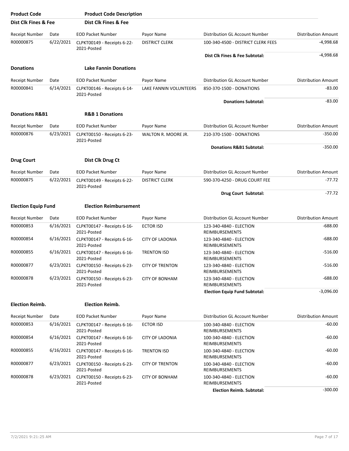| <b>Product Code</b>        |           | <b>Product Code Description</b>            |                        |                                                  |                            |
|----------------------------|-----------|--------------------------------------------|------------------------|--------------------------------------------------|----------------------------|
| Dist Clk Fines & Fee       |           | Dist Clk Fines & Fee                       |                        |                                                  |                            |
| <b>Receipt Number</b>      | Date      | <b>EOD Packet Number</b>                   | Payor Name             | Distribution GL Account Number                   | <b>Distribution Amount</b> |
| R00000875                  | 6/22/2021 | CLPKT00149 - Receipts 6-22-<br>2021-Posted | <b>DISTRICT CLERK</b>  | 100-340-4500 - DISTRICT CLERK FEES               | -4,998.68                  |
|                            |           |                                            |                        | Dist Clk Fines & Fee Subtotal:                   | $-4,998.68$                |
| <b>Donations</b>           |           | <b>Lake Fannin Donations</b>               |                        |                                                  |                            |
| <b>Receipt Number</b>      | Date      | <b>EOD Packet Number</b>                   | Payor Name             | Distribution GL Account Number                   | <b>Distribution Amount</b> |
| R00000841                  | 6/14/2021 | CLPKT00146 - Receipts 6-14-<br>2021-Posted | LAKE FANNIN VOLUNTEERS | 850-370-1500 - DONATIONS                         | $-83.00$                   |
|                            |           |                                            |                        | <b>Donations Subtotal:</b>                       | $-83.00$                   |
| <b>Donations R&amp;B1</b>  |           | <b>R&amp;B 1 Donations</b>                 |                        |                                                  |                            |
| Receipt Number             | Date      | <b>EOD Packet Number</b>                   | Payor Name             | Distribution GL Account Number                   | <b>Distribution Amount</b> |
| R00000876                  | 6/23/2021 | CLPKT00150 - Receipts 6-23-                | WALTON R. MOORE JR.    | 210-370-1500 - DONATIONS                         | $-350.00$                  |
|                            |           | 2021-Posted                                |                        | Donations R&B1 Subtotal:                         | $-350.00$                  |
|                            |           | Dist Clk Drug Ct                           |                        |                                                  |                            |
| <b>Drug Court</b>          |           |                                            |                        |                                                  |                            |
| Receipt Number             | Date      | <b>EOD Packet Number</b>                   | Payor Name             | Distribution GL Account Number                   | <b>Distribution Amount</b> |
| R00000875                  | 6/22/2021 | CLPKT00149 - Receipts 6-22-<br>2021-Posted | <b>DISTRICT CLERK</b>  | 590-370-4250 - DRUG COURT FEE                    | -77.72                     |
|                            |           |                                            |                        | Drug Court Subtotal:                             | $-77.72$                   |
| <b>Election Equip Fund</b> |           | <b>Election Reimbursement</b>              |                        |                                                  |                            |
| <b>Receipt Number</b>      | Date      | <b>EOD Packet Number</b>                   | Payor Name             | Distribution GL Account Number                   | <b>Distribution Amount</b> |
| R00000853                  | 6/16/2021 | CLPKT00147 - Receipts 6-16-<br>2021-Posted | <b>ECTOR ISD</b>       | 123-340-4840 - ELECTION<br>REIMBURSEMENTS        | $-688.00$                  |
| R00000854                  | 6/16/2021 | CLPKT00147 - Receipts 6-16-<br>2021-Posted | <b>CITY OF LADONIA</b> | 123-340-4840 - ELECTION<br>REIMBURSEMENTS        | $-688.00$                  |
| R00000855                  | 6/16/2021 | CLPKT00147 - Receipts 6-16-<br>2021-Posted | <b>TRENTON ISD</b>     | 123-340-4840 - ELECTION<br>REIMBURSEMENTS        | $-516.00$                  |
| R00000877                  | 6/23/2021 | CLPKT00150 - Receipts 6-23-<br>2021-Posted | <b>CITY OF TRENTON</b> | 123-340-4840 - ELECTION<br>REIMBURSEMENTS        | $-516.00$                  |
| R00000878                  | 6/23/2021 | CLPKT00150 - Receipts 6-23-<br>2021-Posted | <b>CITY OF BONHAM</b>  | 123-340-4840 - ELECTION<br><b>REIMBURSEMENTS</b> | $-688.00$                  |
|                            |           |                                            |                        | <b>Election Equip Fund Subtotal:</b>             | $-3,096.00$                |
| <b>Election Reimb.</b>     |           | <b>Election Reimb.</b>                     |                        |                                                  |                            |
| Receipt Number             | Date      | <b>EOD Packet Number</b>                   | Payor Name             | Distribution GL Account Number                   | <b>Distribution Amount</b> |
| R00000853                  | 6/16/2021 | CLPKT00147 - Receipts 6-16-<br>2021-Posted | <b>ECTOR ISD</b>       | 100-340-4840 - ELECTION<br>REIMBURSEMENTS        | $-60.00$                   |
| R00000854                  | 6/16/2021 | CLPKT00147 - Receipts 6-16-<br>2021-Posted | <b>CITY OF LADONIA</b> | 100-340-4840 - ELECTION<br>REIMBURSEMENTS        | $-60.00$                   |
| R00000855                  | 6/16/2021 | CLPKT00147 - Receipts 6-16-<br>2021-Posted | <b>TRENTON ISD</b>     | 100-340-4840 - ELECTION<br>REIMBURSEMENTS        | $-60.00$                   |
| R00000877                  | 6/23/2021 | CLPKT00150 - Receipts 6-23-<br>2021-Posted | <b>CITY OF TRENTON</b> | 100-340-4840 - ELECTION<br>REIMBURSEMENTS        | $-60.00$                   |
| R00000878                  | 6/23/2021 | CLPKT00150 - Receipts 6-23-<br>2021-Posted | <b>CITY OF BONHAM</b>  | 100-340-4840 - ELECTION<br>REIMBURSEMENTS        | $-60.00$                   |
|                            |           |                                            |                        | <b>Election Reimb. Subtotal:</b>                 | $-300.00$                  |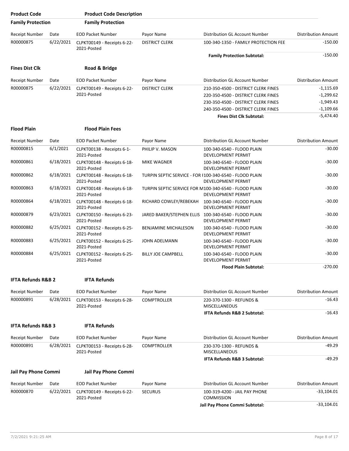| <b>Product Code</b>           |           | <b>Product Code Description</b>            |                           |                                                                               |                            |
|-------------------------------|-----------|--------------------------------------------|---------------------------|-------------------------------------------------------------------------------|----------------------------|
| <b>Family Protection</b>      |           | <b>Family Protection</b>                   |                           |                                                                               |                            |
| <b>Receipt Number</b>         | Date      | <b>EOD Packet Number</b>                   | Payor Name                | Distribution GL Account Number                                                | <b>Distribution Amount</b> |
| R00000875                     | 6/22/2021 | CLPKT00149 - Receipts 6-22-<br>2021-Posted | <b>DISTRICT CLERK</b>     | 100-340-1350 - FAMILY PROTECTION FEE                                          | $-150.00$                  |
|                               |           |                                            |                           | <b>Family Protection Subtotal:</b>                                            | $-150.00$                  |
| <b>Fines Dist Clk</b>         |           | Road & Bridge                              |                           |                                                                               |                            |
| <b>Receipt Number</b>         | Date      | <b>EOD Packet Number</b>                   | Payor Name                | Distribution GL Account Number                                                | <b>Distribution Amount</b> |
| R00000875                     | 6/22/2021 | CLPKT00149 - Receipts 6-22-                | <b>DISTRICT CLERK</b>     | 210-350-4500 - DISTRICT CLERK FINES                                           | $-1,115.69$                |
|                               |           | 2021-Posted                                |                           | 220-350-4500 - DISTRICT CLERK FINES                                           | $-1,299.62$                |
|                               |           |                                            |                           | 230-350-4500 - DISTRICT CLERK FINES                                           | $-1,949.43$                |
|                               |           |                                            |                           | 240-350-4500 - DISTRICT CLERK FINES                                           | $-1,109.66$                |
|                               |           |                                            |                           | <b>Fines Dist Clk Subtotal:</b>                                               | $-5,474.40$                |
| <b>Flood Plain</b>            |           | <b>Flood Plain Fees</b>                    |                           |                                                                               |                            |
| Receipt Number                | Date      | <b>EOD Packet Number</b>                   | Payor Name                | Distribution GL Account Number                                                | <b>Distribution Amount</b> |
| R00000815                     | 6/1/2021  | CLPKT00138 - Receipts 6-1-<br>2021-Posted  | PHILIP V. MASON           | 100-340-6540 - FLOOD PLAIN<br>DEVELOPMENT PERMIT                              | $-30.00$                   |
| R00000861                     | 6/18/2021 | CLPKT00148 - Receipts 6-18-<br>2021-Posted | MIKE WAGNER               | 100-340-6540 - FLOOD PLAIN<br>DEVELOPMENT PERMIT                              | $-30.00$                   |
| R00000862                     | 6/18/2021 | CLPKT00148 - Receipts 6-18-<br>2021-Posted |                           | TURPIN SEPTIC SERVICE - FOR I100-340-6540 - FLOOD PLAIN<br>DEVELOPMENT PERMIT | $-30.00$                   |
| R00000863                     | 6/18/2021 | CLPKT00148 - Receipts 6-18-<br>2021-Posted |                           | TURPIN SEPTIC SERVICE FOR M100-340-6540 - FLOOD PLAIN<br>DEVELOPMENT PERMIT   | $-30.00$                   |
| R00000864                     | 6/18/2021 | CLPKT00148 - Receipts 6-18-<br>2021-Posted | RICHARD COWLEY/REBEKAH    | 100-340-6540 - FLOOD PLAIN<br>DEVELOPMENT PERMIT                              | $-30.00$                   |
| R00000879                     | 6/23/2021 | CLPKT00150 - Receipts 6-23-<br>2021-Posted |                           | JARED BAKER/STEPHEN ELLIS 100-340-6540 - FLOOD PLAIN<br>DEVELOPMENT PERMIT    | $-30.00$                   |
| R00000882                     | 6/25/2021 | CLPKT00152 - Receipts 6-25-<br>2021-Posted | BENJAMINE MICHALESON      | 100-340-6540 - FLOOD PLAIN<br>DEVELOPMENT PERMIT                              | $-30.00$                   |
| R00000883                     | 6/25/2021 | CLPKT00152 - Receipts 6-25-<br>2021-Posted | JOHN ADELMANN             | 100-340-6540 - FLOOD PLAIN<br>DEVELOPMENT PERMIT                              | $-30.00$                   |
| R00000884                     | 6/25/2021 | CLPKT00152 - Receipts 6-25-<br>2021-Posted | <b>BILLY JOE CAMPBELL</b> | 100-340-6540 - FLOOD PLAIN<br>DEVELOPMENT PERMIT                              | $-30.00$                   |
|                               |           |                                            |                           | <b>Flood Plain Subtotal:</b>                                                  | -270.00                    |
| <b>IFTA Refunds R&amp;B 2</b> |           | <b>IFTA Refunds</b>                        |                           |                                                                               |                            |
| Receipt Number                | Date      | <b>EOD Packet Number</b>                   | Payor Name                | Distribution GL Account Number                                                | <b>Distribution Amount</b> |
| R00000891                     | 6/28/2021 | CLPKT00153 - Receipts 6-28-<br>2021-Posted | <b>COMPTROLLER</b>        | 220-370-1300 - REFUNDS &<br>MISCELLANEOUS                                     | $-16.43$                   |
|                               |           |                                            |                           | <b>IFTA Refunds R&amp;B 2 Subtotal:</b>                                       | $-16.43$                   |
| <b>IFTA Refunds R&amp;B 3</b> |           | <b>IFTA Refunds</b>                        |                           |                                                                               |                            |
| Receipt Number                | Date      | <b>EOD Packet Number</b>                   | Payor Name                | Distribution GL Account Number                                                | <b>Distribution Amount</b> |
| R00000891                     | 6/28/2021 | CLPKT00153 - Receipts 6-28-<br>2021-Posted | <b>COMPTROLLER</b>        | 230-370-1300 - REFUNDS &<br><b>MISCELLANEOUS</b>                              | $-49.29$                   |
|                               |           |                                            |                           | IFTA Refunds R&B 3 Subtotal:                                                  | $-49.29$                   |
| Jail Pay Phone Commi          |           | Jail Pay Phone Commi                       |                           |                                                                               |                            |
| Receipt Number                | Date      | <b>EOD Packet Number</b>                   | Payor Name                | Distribution GL Account Number                                                | <b>Distribution Amount</b> |
| R00000870                     | 6/22/2021 | CLPKT00149 - Receipts 6-22-<br>2021-Posted | <b>SECURUS</b>            | 100-319-4200 - JAIL PAY PHONE<br><b>COMMISSION</b>                            | $-33,104.01$               |
|                               |           |                                            |                           | Jail Pay Phone Commi Subtotal:                                                | $-33,104.01$               |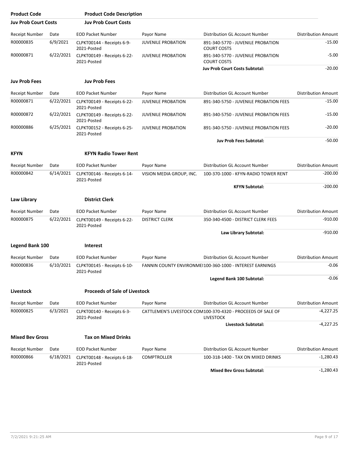| <b>Product Code</b>                |                   | <b>Product Code Description</b>            |                           |                                                             |                                           |
|------------------------------------|-------------------|--------------------------------------------|---------------------------|-------------------------------------------------------------|-------------------------------------------|
| <b>Juv Prob Court Costs</b>        |                   | <b>Juv Prob Court Costs</b>                |                           |                                                             |                                           |
| Receipt Number                     | Date              | <b>EOD Packet Number</b>                   | Payor Name                | Distribution GL Account Number                              | <b>Distribution Amount</b>                |
| R00000835                          | 6/9/2021          | CLPKT00144 - Receipts 6-9-<br>2021-Posted  | <b>JUVENILE PROBATION</b> | 891-340-5770 - JUVENILE PROBATION<br><b>COURT COSTS</b>     | -15.00                                    |
| R00000871                          | 6/22/2021         | CLPKT00149 - Receipts 6-22-<br>2021-Posted | <b>JUVENILE PROBATION</b> | 891-340-5770 - JUVENILE PROBATION<br><b>COURT COSTS</b>     | $-5.00$                                   |
|                                    |                   |                                            |                           | <b>Juv Prob Court Costs Subtotal:</b>                       | $-20.00$                                  |
| <b>Juv Prob Fees</b>               |                   | <b>Juv Prob Fees</b>                       |                           |                                                             |                                           |
| <b>Receipt Number</b>              | Date              | <b>EOD Packet Number</b>                   | Payor Name                | Distribution GL Account Number                              | <b>Distribution Amount</b>                |
| R00000871                          | 6/22/2021         | CLPKT00149 - Receipts 6-22-<br>2021-Posted | <b>JUVENILE PROBATION</b> | 891-340-5750 - JUVENILE PROBATION FEES                      | $-15.00$                                  |
| R00000872                          | 6/22/2021         | CLPKT00149 - Receipts 6-22-<br>2021-Posted | <b>JUVENILE PROBATION</b> | 891-340-5750 - JUVENILE PROBATION FEES                      | $-15.00$                                  |
| R00000886                          | 6/25/2021         | CLPKT00152 - Receipts 6-25-<br>2021-Posted | <b>JUVENILE PROBATION</b> | 891-340-5750 - JUVENILE PROBATION FEES                      | $-20.00$                                  |
|                                    |                   |                                            |                           | <b>Juv Prob Fees Subtotal:</b>                              | $-50.00$                                  |
| <b>KFYN</b>                        |                   | <b>KFYN Radio Tower Rent</b>               |                           |                                                             |                                           |
| <b>Receipt Number</b>              | Date              | <b>EOD Packet Number</b>                   | Payor Name                | Distribution GL Account Number                              | <b>Distribution Amount</b>                |
| R00000842                          | 6/14/2021         | CLPKT00146 - Receipts 6-14-<br>2021-Posted | VISION MEDIA GROUP, INC.  | 100-370-1000 - KFYN-RADIO TOWER RENT                        | $-200.00$                                 |
|                                    |                   |                                            |                           | <b>KFYN Subtotal:</b>                                       | $-200.00$                                 |
| Law Library                        |                   | <b>District Clerk</b>                      |                           |                                                             |                                           |
| <b>Receipt Number</b>              | Date              | <b>EOD Packet Number</b>                   | Payor Name                | Distribution GL Account Number                              | <b>Distribution Amount</b>                |
| R00000875                          | 6/22/2021         | CLPKT00149 - Receipts 6-22-                | <b>DISTRICT CLERK</b>     | 350-340-4500 - DISTRICT CLERK FEES                          | $-910.00$                                 |
|                                    |                   | 2021-Posted                                |                           |                                                             |                                           |
|                                    |                   |                                            |                           | Law Library Subtotal:                                       | $-910.00$                                 |
| <b>Legend Bank 100</b>             |                   | <b>Interest</b>                            |                           |                                                             |                                           |
| <b>Receipt Number</b>              | Date              | <b>EOD Packet Number</b>                   | Payor Name                | Distribution GL Account Number                              | <b>Distribution Amount</b>                |
| R00000836                          | 6/10/2021         | CLPKT00145 - Receipts 6-10-<br>2021-Posted |                           | FANNIN COUNTY ENVIRONMEI100-360-1000 - INTEREST EARNINGS    | -0.06                                     |
|                                    |                   |                                            |                           | Legend Bank 100 Subtotal:                                   | $-0.06$                                   |
| Livestock                          |                   | <b>Proceeds of Sale of Livestock</b>       |                           |                                                             |                                           |
| <b>Receipt Number</b>              | Date              | <b>EOD Packet Number</b>                   | Payor Name                | Distribution GL Account Number                              | <b>Distribution Amount</b>                |
| R00000825                          | 6/3/2021          | CLPKT00140 - Receipts 6-3-                 |                           | CATTLEMEN'S LIVESTOCK COM100-370-4320 - PROCEEDS OF SALE OF | $-4,227.25$                               |
|                                    |                   | 2021-Posted                                |                           | <b>LIVESTOCK</b><br><b>Livestock Subtotal:</b>              | $-4,227.25$                               |
| <b>Mixed Bev Gross</b>             |                   | <b>Tax on Mixed Drinks</b>                 |                           |                                                             |                                           |
|                                    |                   |                                            |                           |                                                             |                                           |
| <b>Receipt Number</b><br>R00000866 | Date<br>6/18/2021 | <b>EOD Packet Number</b>                   | Payor Name                | Distribution GL Account Number                              | <b>Distribution Amount</b><br>$-1,280.43$ |
|                                    |                   | CLPKT00148 - Receipts 6-18-<br>2021-Posted | <b>COMPTROLLER</b>        | 100-318-1400 - TAX ON MIXED DRINKS                          |                                           |
|                                    |                   |                                            |                           | <b>Mixed Bev Gross Subtotal:</b>                            | $-1,280.43$                               |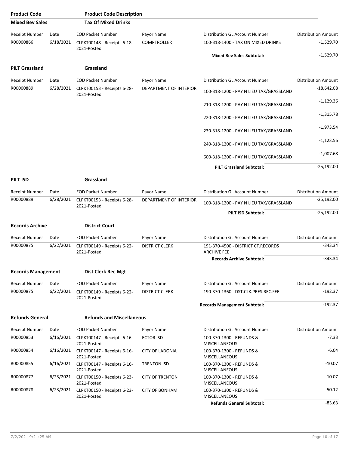| <b>Product Code</b>       |           | <b>Product Code Description</b>            |                        |                                                          |                            |
|---------------------------|-----------|--------------------------------------------|------------------------|----------------------------------------------------------|----------------------------|
| <b>Mixed Bev Sales</b>    |           | <b>Tax Of Mixed Drinks</b>                 |                        |                                                          |                            |
| <b>Receipt Number</b>     | Date      | <b>EOD Packet Number</b>                   | Payor Name             | Distribution GL Account Number                           | <b>Distribution Amount</b> |
| R00000866                 | 6/18/2021 | CLPKT00148 - Receipts 6-18-<br>2021-Posted | <b>COMPTROLLER</b>     | 100-318-1400 - TAX ON MIXED DRINKS                       | $-1,529.70$                |
|                           |           |                                            |                        | <b>Mixed Bev Sales Subtotal:</b>                         | $-1,529.70$                |
| <b>PILT Grassland</b>     |           | Grassland                                  |                        |                                                          |                            |
| <b>Receipt Number</b>     | Date      | <b>EOD Packet Number</b>                   | Payor Name             | Distribution GL Account Number                           | <b>Distribution Amount</b> |
| R00000889                 | 6/28/2021 | CLPKT00153 - Receipts 6-28-<br>2021-Posted | DEPARTMENT OF INTERIOR | 100-318-1200 - PAY N LIEU TAX/GRASSLAND                  | $-18,642.08$               |
|                           |           |                                            |                        | 210-318-1200 - PAY N LIEU TAX/GRASSLAND                  | $-1,129.36$                |
|                           |           |                                            |                        | 220-318-1200 - PAY N LIEU TAX/GRASSLAND                  | $-1,315.78$                |
|                           |           |                                            |                        | 230-318-1200 - PAY N LIEU TAX/GRASSLAND                  | $-1,973.54$                |
|                           |           |                                            |                        | 240-318-1200 - PAY N LIEU TAX/GRASSLAND                  | $-1,123.56$                |
|                           |           |                                            |                        | 600-318-1200 - PAY N LIEU TAX/GRASSLAND                  | $-1,007.68$                |
|                           |           |                                            |                        | <b>PILT Grassland Subtotal:</b>                          | $-25,192.00$               |
| <b>PILT ISD</b>           |           | Grassland                                  |                        |                                                          |                            |
| Receipt Number            | Date      | <b>EOD Packet Number</b>                   | Payor Name             | Distribution GL Account Number                           | <b>Distribution Amount</b> |
| R00000889                 | 6/28/2021 | CLPKT00153 - Receipts 6-28-<br>2021-Posted | DEPARTMENT OF INTERIOR | 100-318-1200 - PAY N LIEU TAX/GRASSLAND                  | $-25,192.00$               |
|                           |           |                                            |                        | PILT ISD Subtotal:                                       | $-25,192.00$               |
| <b>Records Archive</b>    |           | <b>District Court</b>                      |                        |                                                          |                            |
| <b>Receipt Number</b>     | Date      | <b>EOD Packet Number</b>                   | Payor Name             | Distribution GL Account Number                           | <b>Distribution Amount</b> |
| R00000875                 | 6/22/2021 | CLPKT00149 - Receipts 6-22-<br>2021-Posted | <b>DISTRICT CLERK</b>  | 191-370-4500 - DISTRICT CT.RECORDS<br><b>ARCHIVE FEE</b> | $-343.34$                  |
|                           |           |                                            |                        | <b>Records Archive Subtotal:</b>                         | $-343.34$                  |
| <b>Records Management</b> |           | Dist Clerk Rec Mgt                         |                        |                                                          |                            |
| <b>Receipt Number</b>     | Date      | <b>EOD Packet Number</b>                   | Payor Name             | Distribution GL Account Number                           | <b>Distribution Amount</b> |
| R00000875                 | 6/22/2021 | CLPKT00149 - Receipts 6-22-<br>2021-Posted | <b>DISTRICT CLERK</b>  | 190-370-1360 - DST.CLK.PRES.REC.FEE                      | -192.37                    |
|                           |           |                                            |                        | <b>Records Management Subtotal:</b>                      | $-192.37$                  |
| <b>Refunds General</b>    |           | <b>Refunds and Miscellaneous</b>           |                        |                                                          |                            |
| <b>Receipt Number</b>     | Date      | <b>EOD Packet Number</b>                   | Payor Name             | Distribution GL Account Number                           | <b>Distribution Amount</b> |
| R00000853                 | 6/16/2021 | CLPKT00147 - Receipts 6-16-<br>2021-Posted | <b>ECTOR ISD</b>       | 100-370-1300 - REFUNDS &<br>MISCELLANEOUS                | $-7.33$                    |
| R00000854                 | 6/16/2021 | CLPKT00147 - Receipts 6-16-<br>2021-Posted | <b>CITY OF LADONIA</b> | 100-370-1300 - REFUNDS &<br>MISCELLANEOUS                | $-6.04$                    |
| R00000855                 | 6/16/2021 | CLPKT00147 - Receipts 6-16-<br>2021-Posted | <b>TRENTON ISD</b>     | 100-370-1300 - REFUNDS &<br>MISCELLANEOUS                | $-10.07$                   |
| R00000877                 | 6/23/2021 | CLPKT00150 - Receipts 6-23-<br>2021-Posted | <b>CITY OF TRENTON</b> | 100-370-1300 - REFUNDS &<br>MISCELLANEOUS                | $-10.07$                   |
| R00000878                 | 6/23/2021 | CLPKT00150 - Receipts 6-23-<br>2021-Posted | <b>CITY OF BONHAM</b>  | 100-370-1300 - REFUNDS &<br>MISCELLANEOUS                | $-50.12$                   |
|                           |           |                                            |                        | <b>Refunds General Subtotal:</b>                         | $-83.63$                   |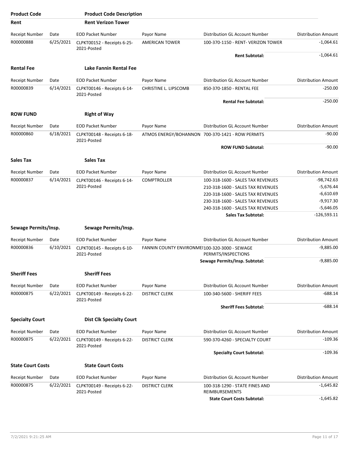| <b>Product Code</b>      |           | <b>Product Code Description</b>            |                                               |                                                         |                            |
|--------------------------|-----------|--------------------------------------------|-----------------------------------------------|---------------------------------------------------------|----------------------------|
| Rent                     |           | <b>Rent Verizon Tower</b>                  |                                               |                                                         |                            |
| Receipt Number           | Date      | <b>EOD Packet Number</b>                   | Payor Name                                    | Distribution GL Account Number                          | <b>Distribution Amount</b> |
| R00000888                | 6/25/2021 | CLPKT00152 - Receipts 6-25-<br>2021-Posted | <b>AMERICAN TOWER</b>                         | 100-370-1150 - RENT- VERIZON TOWER                      | $-1,064.61$                |
|                          |           |                                            |                                               | <b>Rent Subtotal:</b>                                   | $-1,064.61$                |
| <b>Rental Fee</b>        |           | Lake Fannin Rental Fee                     |                                               |                                                         |                            |
| <b>Receipt Number</b>    | Date      | <b>EOD Packet Number</b>                   | Payor Name                                    | <b>Distribution GL Account Number</b>                   | <b>Distribution Amount</b> |
| R00000839                | 6/14/2021 | CLPKT00146 - Receipts 6-14-<br>2021-Posted | CHRISTINE L. LIPSCOMB                         | 850-370-1850 - RENTAL FEE                               | $-250.00$                  |
|                          |           |                                            |                                               | <b>Rental Fee Subtotal:</b>                             | $-250.00$                  |
| <b>ROW FUND</b>          |           | <b>Right of Way</b>                        |                                               |                                                         |                            |
| <b>Receipt Number</b>    | Date      | <b>EOD Packet Number</b>                   | Payor Name                                    | Distribution GL Account Number                          | <b>Distribution Amount</b> |
| R00000860                | 6/18/2021 | CLPKT00148 - Receipts 6-18-                |                                               | ATMOS ENERGY/BOHANNON 700-370-1421 - ROW PERMITS        | $-90.00$                   |
|                          |           | 2021-Posted                                |                                               | <b>ROW FUND Subtotal:</b>                               | $-90.00$                   |
| <b>Sales Tax</b>         |           | <b>Sales Tax</b>                           |                                               |                                                         |                            |
| <b>Receipt Number</b>    | Date      | <b>EOD Packet Number</b>                   | Payor Name                                    | Distribution GL Account Number                          | <b>Distribution Amount</b> |
| R00000837                | 6/14/2021 | CLPKT00146 - Receipts 6-14-                | <b>COMPTROLLER</b>                            | 100-318-1600 - SALES TAX REVENUES                       | $-98,742.63$               |
|                          |           | 2021-Posted                                |                                               | 210-318-1600 - SALES TAX REVENUES                       | $-5,676.44$                |
|                          |           |                                            |                                               | 220-318-1600 - SALES TAX REVENUES                       | $-6,610.69$                |
|                          |           |                                            |                                               | 230-318-1600 - SALES TAX REVENUES                       | $-9,917.30$                |
|                          |           |                                            |                                               | 240-318-1600 - SALES TAX REVENUES                       | $-5,646.05$                |
|                          |           |                                            |                                               | <b>Sales Tax Subtotal:</b>                              | $-126,593.11$              |
| Sewage Permits/Insp.     |           | Sewage Permits/Insp.                       |                                               |                                                         |                            |
| Receipt Number           | Date      | <b>EOD Packet Number</b>                   | Payor Name                                    | Distribution GL Account Number                          | <b>Distribution Amount</b> |
| R00000836                | 6/10/2021 | CLPKT00145 - Receipts 6-10-<br>2021-Posted | FANNIN COUNTY ENVIRONMEI100-320-3000 - SEWAGE | PERMITS/INSPECTIONS                                     | $-9,885.00$                |
|                          |           |                                            |                                               | Sewage Permits/Insp. Subtotal:                          | $-9,885.00$                |
| <b>Sheriff Fees</b>      |           | <b>Sheriff Fees</b>                        |                                               |                                                         |                            |
| Receipt Number           | Date      | <b>EOD Packet Number</b>                   | Payor Name                                    | Distribution GL Account Number                          | <b>Distribution Amount</b> |
| R00000875                | 6/22/2021 | CLPKT00149 - Receipts 6-22-                | <b>DISTRICT CLERK</b>                         | 100-340-5600 - SHERIFF FEES                             | $-688.14$                  |
|                          |           | 2021-Posted                                |                                               | <b>Sheriff Fees Subtotal:</b>                           | $-688.14$                  |
| <b>Specialty Court</b>   |           | <b>Dist Clk Specialty Court</b>            |                                               |                                                         |                            |
| Receipt Number           | Date      | <b>EOD Packet Number</b>                   | Payor Name                                    | Distribution GL Account Number                          | <b>Distribution Amount</b> |
| R00000875                | 6/22/2021 | CLPKT00149 - Receipts 6-22-                | <b>DISTRICT CLERK</b>                         | 590-370-4260 - SPECIALTY COURT                          | $-109.36$                  |
|                          |           | 2021-Posted                                |                                               | <b>Specialty Court Subtotal:</b>                        | $-109.36$                  |
| <b>State Court Costs</b> |           | <b>State Court Costs</b>                   |                                               |                                                         |                            |
| <b>Receipt Number</b>    | Date      | <b>EOD Packet Number</b>                   | Payor Name                                    | Distribution GL Account Number                          | <b>Distribution Amount</b> |
| R00000875                | 6/22/2021 | CLPKT00149 - Receipts 6-22-<br>2021-Posted | <b>DISTRICT CLERK</b>                         | 100-318-1290 - STATE FINES AND<br><b>REIMBURSEMENTS</b> | $-1,645.82$                |
|                          |           |                                            |                                               | <b>State Court Costs Subtotal:</b>                      | $-1,645.82$                |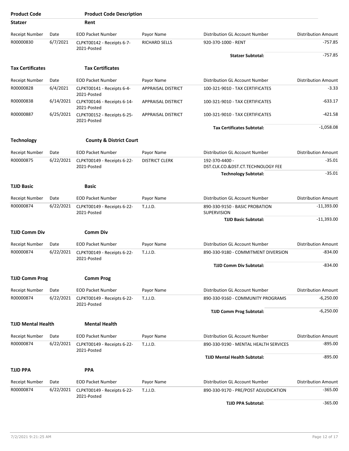| <b>Product Code</b>       |           | <b>Product Code Description</b>            |                           |                                                     |                            |
|---------------------------|-----------|--------------------------------------------|---------------------------|-----------------------------------------------------|----------------------------|
| <b>Statzer</b>            |           | Rent                                       |                           |                                                     |                            |
| Receipt Number            | Date      | <b>EOD Packet Number</b>                   | Payor Name                | Distribution GL Account Number                      | <b>Distribution Amount</b> |
| R00000830                 | 6/7/2021  | CLPKT00142 - Receipts 6-7-<br>2021-Posted  | RICHARD SELLS             | 920-370-1000 - RENT                                 | $-757.85$                  |
|                           |           |                                            |                           | <b>Statzer Subtotal:</b>                            | $-757.85$                  |
| <b>Tax Certificates</b>   |           | <b>Tax Certificates</b>                    |                           |                                                     |                            |
| <b>Receipt Number</b>     | Date      | <b>EOD Packet Number</b>                   | Payor Name                | Distribution GL Account Number                      | <b>Distribution Amount</b> |
| R00000828                 | 6/4/2021  | CLPKT00141 - Receipts 6-4-<br>2021-Posted  | <b>APPRAISAL DISTRICT</b> | 100-321-9010 - TAX CERTIFICATES                     | $-3.33$                    |
| R00000838                 | 6/14/2021 | CLPKT00146 - Receipts 6-14-<br>2021-Posted | <b>APPRAISAL DISTRICT</b> | 100-321-9010 - TAX CERTIFICATES                     | $-633.17$                  |
| R00000887                 | 6/25/2021 | CLPKT00152 - Receipts 6-25-<br>2021-Posted | <b>APPRAISAL DISTRICT</b> | 100-321-9010 - TAX CERTIFICATES                     | $-421.58$                  |
|                           |           |                                            |                           | <b>Tax Certificates Subtotal:</b>                   | $-1,058.08$                |
| <b>Technology</b>         |           | <b>County &amp; District Court</b>         |                           |                                                     |                            |
| <b>Receipt Number</b>     | Date      | <b>EOD Packet Number</b>                   | Payor Name                | Distribution GL Account Number                      | <b>Distribution Amount</b> |
| R00000875                 | 6/22/2021 | CLPKT00149 - Receipts 6-22-<br>2021-Posted | <b>DISTRICT CLERK</b>     | 192-370-4400 -<br>DST.CLK.CO.&DST.CT.TECHNOLOGY FEE | $-35.01$                   |
|                           |           |                                            |                           | <b>Technology Subtotal:</b>                         | $-35.01$                   |
| <b>TJJD Basic</b>         |           | Basic                                      |                           |                                                     |                            |
| <b>Receipt Number</b>     | Date      | <b>EOD Packet Number</b>                   | Payor Name                | Distribution GL Account Number                      | <b>Distribution Amount</b> |
| R00000874                 | 6/22/2021 | CLPKT00149 - Receipts 6-22-<br>2021-Posted | T.J.J.D.                  | 890-330-9150 - BASIC PROBATION<br>SUPERVISION       | $-11,393.00$               |
|                           |           |                                            |                           | <b>TJJD Basic Subtotal:</b>                         | $-11,393.00$               |
| <b>TJJD Comm Div</b>      |           | <b>Comm Div</b>                            |                           |                                                     |                            |
| Receipt Number            | Date      | <b>EOD Packet Number</b>                   | Payor Name                | Distribution GL Account Number                      | <b>Distribution Amount</b> |
| R00000874                 | 6/22/2021 | CLPKT00149 - Receipts 6-22-                | T.J.J.D.                  | 890-330-9180 - COMMITMENT DIVERSION                 | $-834.00$                  |
|                           |           | 2021-Posted                                |                           | <b>TJJD Comm Div Subtotal:</b>                      | $-834.00$                  |
|                           |           |                                            |                           |                                                     |                            |
| <b>TJJD Comm Prog</b>     |           | <b>Comm Prog</b>                           |                           |                                                     |                            |
| <b>Receipt Number</b>     | Date      | <b>EOD Packet Number</b>                   | Payor Name                | Distribution GL Account Number                      | <b>Distribution Amount</b> |
| R00000874                 | 6/22/2021 | CLPKT00149 - Receipts 6-22-<br>2021-Posted | T.J.J.D.                  | 890-330-9160 - COMMUNITY PROGRAMS                   | $-6,250.00$                |
|                           |           |                                            |                           | <b>TJJD Comm Prog Subtotal:</b>                     | $-6,250.00$                |
| <b>TJJD Mental Health</b> |           | <b>Mental Health</b>                       |                           |                                                     |                            |
| Receipt Number            | Date      | <b>EOD Packet Number</b>                   | Payor Name                | Distribution GL Account Number                      | <b>Distribution Amount</b> |
| R00000874                 | 6/22/2021 | CLPKT00149 - Receipts 6-22-                | T.J.J.D.                  | 890-330-9190 - MENTAL HEALTH SERVICES               | $-895.00$                  |
|                           |           | 2021-Posted                                |                           | <b>TJJD Mental Health Subtotal:</b>                 | $-895.00$                  |
| <b>TJJD PPA</b>           |           | <b>PPA</b>                                 |                           |                                                     |                            |
| Receipt Number            | Date      | <b>EOD Packet Number</b>                   | Payor Name                | Distribution GL Account Number                      | <b>Distribution Amount</b> |
| R00000874                 | 6/22/2021 | CLPKT00149 - Receipts 6-22-                | T.J.J.D.                  | 890-330-9170 - PRE/POST ADJUDICATION                | $-365.00$                  |
|                           |           | 2021-Posted                                |                           | <b>TJJD PPA Subtotal:</b>                           | $-365.00$                  |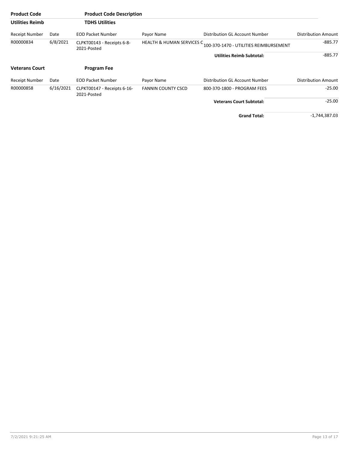| <b>Product Code</b>    |           | <b>Product Code Description</b>            |                                      |                                        |                            |
|------------------------|-----------|--------------------------------------------|--------------------------------------|----------------------------------------|----------------------------|
| <b>Utilities Reimb</b> |           | <b>TDHS Utilities</b>                      |                                      |                                        |                            |
| Receipt Number         | Date      | <b>EOD Packet Number</b>                   | Payor Name                           | Distribution GL Account Number         | <b>Distribution Amount</b> |
| R00000834              | 6/8/2021  | CLPKT00143 - Receipts 6-8-<br>2021-Posted  | <b>HEALTH &amp; HUMAN SERVICES C</b> | 100-370-1470 - UTILITIES REIMBURSEMENT | -885.77                    |
|                        |           |                                            |                                      | <b>Utilities Reimb Subtotal:</b>       | $-885.77$                  |
| <b>Veterans Court</b>  |           | <b>Program Fee</b>                         |                                      |                                        |                            |
| Receipt Number         | Date      | <b>EOD Packet Number</b>                   | Payor Name                           | Distribution GL Account Number         | <b>Distribution Amount</b> |
| R00000858              | 6/16/2021 | CLPKT00147 - Receipts 6-16-<br>2021-Posted | <b>FANNIN COUNTY CSCD</b>            | 800-370-1800 - PROGRAM FEES            | -25.00                     |
|                        |           |                                            |                                      | <b>Veterans Court Subtotal:</b>        | $-25.00$                   |
|                        |           |                                            |                                      | <b>Grand Total:</b>                    | -1,744,387.03              |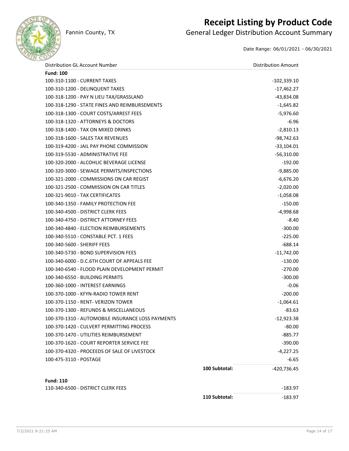

## **Receipt Listing by Product Code**

Fannin County, TX **General Ledger Distribution Account Summary** 

Date Range: 06/01/2021 - 06/30/2021

| Distribution GL Account Number                    |               | <b>Distribution Amount</b> |
|---------------------------------------------------|---------------|----------------------------|
| <b>Fund: 100</b>                                  |               |                            |
| 100-310-1100 - CURRENT TAXES                      |               | $-102,339.10$              |
| 100-310-1200 - DELINQUENT TAXES                   |               | -17,462.27                 |
| 100-318-1200 - PAY N LIEU TAX/GRASSLAND           |               | -43,834.08                 |
| 100-318-1290 - STATE FINES AND REIMBURSEMENTS     |               | $-1,645.82$                |
| 100-318-1300 - COURT COSTS/ARREST FEES            |               | $-5,976.60$                |
| 100-318-1320 - ATTORNEYS & DOCTORS                |               | $-6.96$                    |
| 100-318-1400 - TAX ON MIXED DRINKS                |               | $-2,810.13$                |
| 100-318-1600 - SALES TAX REVENUES                 |               | $-98,742.63$               |
| 100-319-4200 - JAIL PAY PHONE COMMISSION          |               | $-33,104.01$               |
| 100-319-5530 - ADMINISTRATIVE FEE                 |               | $-56,310.00$               |
| 100-320-2000 - ALCOHLIC BEVERAGE LICENSE          |               | $-192.00$                  |
| 100-320-3000 - SEWAGE PERMITS/INSPECTIONS         |               | $-9,885.00$                |
| 100-321-2000 - COMMISSIONS ON CAR REGIST          |               | $-6,676.20$                |
| 100-321-2500 - COMMISSION ON CAR TITLES           |               | $-2,020.00$                |
| 100-321-9010 - TAX CERTIFICATES                   |               | $-1,058.08$                |
| 100-340-1350 - FAMILY PROTECTION FEE              |               | $-150.00$                  |
| 100-340-4500 - DISTRICT CLERK FEES                |               | $-4,998.68$                |
| 100-340-4750 - DISTRICT ATTORNEY FEES             |               | $-8.40$                    |
| 100-340-4840 - ELECTION REIMBURSEMENTS            |               | $-300.00$                  |
| 100-340-5510 - CONSTABLE PCT. 1 FEES              |               | $-225.00$                  |
| 100-340-5600 - SHERIFF FEES                       |               | $-688.14$                  |
| 100-340-5730 - BOND SUPERVISION FEES              |               | $-11,742.00$               |
| 100-340-6000 - D.C.6TH COURT OF APPEALS FEE       |               | $-130.00$                  |
| 100-340-6540 - FLOOD PLAIN DEVELOPMENT PERMIT     |               | $-270.00$                  |
| 100-340-6550 - BUILDING PERMITS                   |               | $-300.00$                  |
| 100-360-1000 - INTEREST EARNINGS                  |               | $-0.06$                    |
| 100-370-1000 - KFYN-RADIO TOWER RENT              |               | $-200.00$                  |
| 100-370-1150 - RENT- VERIZON TOWER                |               | $-1,064.61$                |
| 100-370-1300 - REFUNDS & MISCELLANEOUS            |               | $-83.63$                   |
| 100-370-1310 - AUTOMOBILE INSURANCE LOSS PAYMENTS |               | $-12,923.38$               |
| 100-370-1420 - CULVERT PERMITTING PROCESS         |               | $-80.00$                   |
| 100-370-1470 - UTILITIES REIMBURSEMENT            |               | $-885.77$                  |
| 100-370-1620 - COURT REPORTER SERVICE FEE         |               | $-390.00$                  |
| 100-370-4320 - PROCEEDS OF SALE OF LIVESTOCK      |               | $-4,227.25$                |
| 100-475-3110 - POSTAGE                            |               | $-6.65$                    |
|                                                   | 100 Subtotal: | -420,736.45                |
|                                                   |               |                            |
| <b>Fund: 110</b>                                  |               |                            |
| 110-340-6500 - DISTRICT CLERK FEES                |               | $-183.97$                  |
|                                                   | 110 Subtotal: | $-183.97$                  |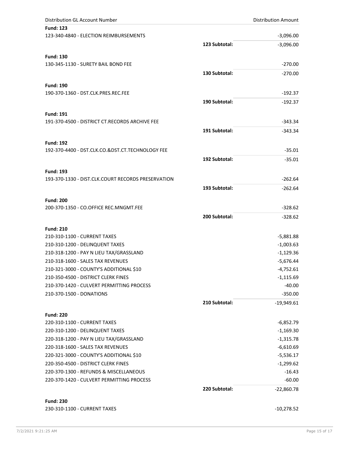| Distribution GL Account Number                             |               | <b>Distribution Amount</b> |
|------------------------------------------------------------|---------------|----------------------------|
| <b>Fund: 123</b>                                           |               |                            |
| 123-340-4840 - ELECTION REIMBURSEMENTS                     |               | $-3,096.00$                |
|                                                            | 123 Subtotal: | $-3,096.00$                |
| <b>Fund: 130</b>                                           |               |                            |
| 130-345-1130 - SURETY BAIL BOND FEE                        |               | $-270.00$                  |
|                                                            | 130 Subtotal: | $-270.00$                  |
|                                                            |               |                            |
| <b>Fund: 190</b>                                           |               |                            |
| 190-370-1360 - DST.CLK.PRES.REC.FEE                        |               | $-192.37$                  |
|                                                            | 190 Subtotal: | $-192.37$                  |
| <b>Fund: 191</b>                                           |               |                            |
| 191-370-4500 - DISTRICT CT.RECORDS ARCHIVE FEE             |               | $-343.34$                  |
|                                                            | 191 Subtotal: | $-343.34$                  |
|                                                            |               |                            |
| <b>Fund: 192</b>                                           |               | $-35.01$                   |
| 192-370-4400 - DST.CLK.CO.&DST.CT.TECHNOLOGY FEE           |               |                            |
|                                                            | 192 Subtotal: | $-35.01$                   |
| <b>Fund: 193</b>                                           |               |                            |
| 193-370-1330 - DIST.CLK.COURT RECORDS PRESERVATION         |               | $-262.64$                  |
|                                                            | 193 Subtotal: | $-262.64$                  |
|                                                            |               |                            |
| <b>Fund: 200</b><br>200-370-1350 - CO.OFFICE REC.MNGMT.FEE |               | $-328.62$                  |
|                                                            |               |                            |
|                                                            | 200 Subtotal: | $-328.62$                  |
| <b>Fund: 210</b>                                           |               |                            |
| 210-310-1100 - CURRENT TAXES                               |               | $-5,881.88$                |
| 210-310-1200 - DELINQUENT TAXES                            |               | $-1,003.63$                |
| 210-318-1200 - PAY N LIEU TAX/GRASSLAND                    |               | $-1,129.36$                |
| 210-318-1600 - SALES TAX REVENUES                          |               | $-5,676.44$                |
| 210-321-3000 - COUNTY'S ADDITIONAL \$10                    |               | $-4,752.61$                |
| 210-350-4500 - DISTRICT CLERK FINES                        |               | -1,115.69                  |
| 210-370-1420 - CULVERT PERMITTING PROCESS                  |               | $-40.00$                   |
| 210-370-1500 - DONATIONS                                   |               | $-350.00$                  |
|                                                            | 210 Subtotal: | $-19,949.61$               |
| <b>Fund: 220</b>                                           |               |                            |
| 220-310-1100 - CURRENT TAXES                               |               | $-6,852.79$                |
| 220-310-1200 - DELINQUENT TAXES                            |               | $-1,169.30$                |
| 220-318-1200 - PAY N LIEU TAX/GRASSLAND                    |               | $-1,315.78$                |
| 220-318-1600 - SALES TAX REVENUES                          |               | $-6,610.69$                |
| 220-321-3000 - COUNTY'S ADDITIONAL \$10                    |               | -5,536.17                  |
| 220-350-4500 - DISTRICT CLERK FINES                        |               | $-1,299.62$                |
| 220-370-1300 - REFUNDS & MISCELLANEOUS                     |               | $-16.43$                   |
| 220-370-1420 - CULVERT PERMITTING PROCESS                  |               | $-60.00$                   |
|                                                            | 220 Subtotal: | $-22,860.78$               |
|                                                            |               |                            |
| <b>Fund: 230</b>                                           |               |                            |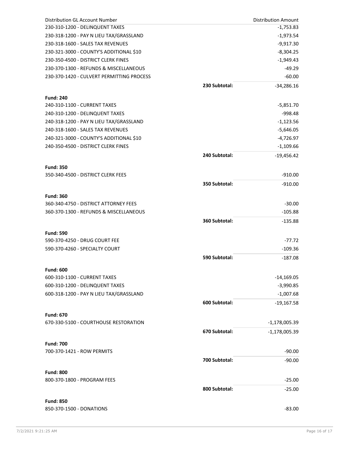| Distribution GL Account Number                  |               | <b>Distribution Amount</b> |
|-------------------------------------------------|---------------|----------------------------|
| 230-310-1200 - DELINQUENT TAXES                 |               | $-1,753.83$                |
| 230-318-1200 - PAY N LIEU TAX/GRASSLAND         |               | $-1,973.54$                |
| 230-318-1600 - SALES TAX REVENUES               |               | $-9,917.30$                |
| 230-321-3000 - COUNTY'S ADDITIONAL \$10         |               | $-8,304.25$                |
| 230-350-4500 - DISTRICT CLERK FINES             |               | $-1,949.43$                |
| 230-370-1300 - REFUNDS & MISCELLANEOUS          |               | $-49.29$                   |
| 230-370-1420 - CULVERT PERMITTING PROCESS       |               | $-60.00$                   |
|                                                 | 230 Subtotal: | $-34,286.16$               |
| <b>Fund: 240</b>                                |               |                            |
| 240-310-1100 - CURRENT TAXES                    |               | $-5,851.70$                |
| 240-310-1200 - DELINQUENT TAXES                 |               | $-998.48$                  |
| 240-318-1200 - PAY N LIEU TAX/GRASSLAND         |               | $-1,123.56$                |
| 240-318-1600 - SALES TAX REVENUES               |               | $-5,646.05$                |
| 240-321-3000 - COUNTY'S ADDITIONAL \$10         |               | $-4,726.97$                |
| 240-350-4500 - DISTRICT CLERK FINES             |               | $-1,109.66$                |
|                                                 | 240 Subtotal: | $-19,456.42$               |
|                                                 |               |                            |
| <b>Fund: 350</b>                                |               |                            |
| 350-340-4500 - DISTRICT CLERK FEES              |               | $-910.00$                  |
|                                                 | 350 Subtotal: | $-910.00$                  |
| <b>Fund: 360</b>                                |               |                            |
| 360-340-4750 - DISTRICT ATTORNEY FEES           |               | $-30.00$                   |
| 360-370-1300 - REFUNDS & MISCELLANEOUS          |               | $-105.88$                  |
|                                                 | 360 Subtotal: | $-135.88$                  |
|                                                 |               |                            |
| <b>Fund: 590</b>                                |               |                            |
| 590-370-4250 - DRUG COURT FEE                   |               | $-77.72$                   |
| 590-370-4260 - SPECIALTY COURT                  |               | $-109.36$                  |
|                                                 | 590 Subtotal: | $-187.08$                  |
| <b>Fund: 600</b>                                |               |                            |
| 600-310-1100 - CURRENT TAXES                    |               | $-14,169.05$               |
| 600-310-1200 - DELINQUENT TAXES                 |               | $-3,990.85$                |
| 600-318-1200 - PAY N LIEU TAX/GRASSLAND         |               | $-1,007.68$                |
|                                                 | 600 Subtotal: | $-19,167.58$               |
|                                                 |               |                            |
| <b>Fund: 670</b>                                |               |                            |
| 670-330-5100 - COURTHOUSE RESTORATION           |               | $-1,178,005.39$            |
|                                                 | 670 Subtotal: | $-1,178,005.39$            |
| <b>Fund: 700</b>                                |               |                            |
| 700-370-1421 - ROW PERMITS                      |               | $-90.00$                   |
|                                                 | 700 Subtotal: | $-90.00$                   |
|                                                 |               |                            |
| <b>Fund: 800</b><br>800-370-1800 - PROGRAM FEES |               | $-25.00$                   |
|                                                 |               |                            |
|                                                 | 800 Subtotal: | $-25.00$                   |
| <b>Fund: 850</b>                                |               |                            |
| 850-370-1500 - DONATIONS                        |               | $-83.00$                   |